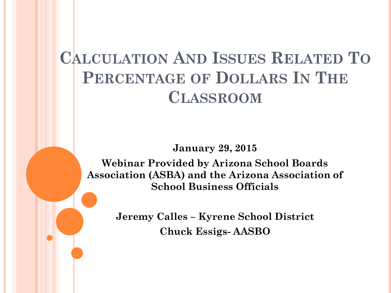# **CALCULATION AND ISSUES RELATED TO PERCENTAGE OF DOLLARS IN THE CLASSROOM**

**January 29, 2015**

**Webinar Provided by Arizona School Boards Association (ASBA) and the Arizona Association of School Business Officials** 

> **Jeremy Calles – Kyrene School District Chuck Essigs- AASBO**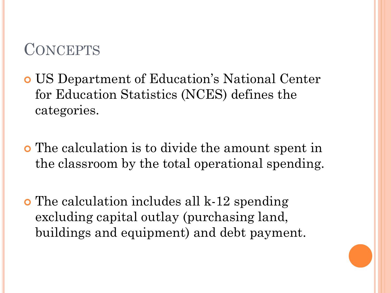### **CONCEPTS**

- US Department of Education's National Center for Education Statistics (NCES) defines the categories.
- The calculation is to divide the amount spent in the classroom by the total operational spending.
- The calculation includes all k-12 spending excluding capital outlay (purchasing land, buildings and equipment) and debt payment.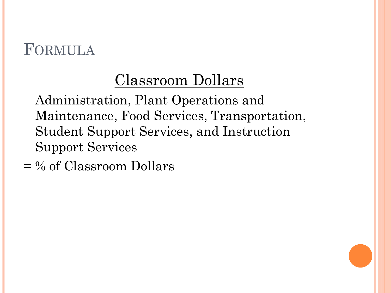### FORMULA

# Classroom Dollars

Administration, Plant Operations and Maintenance, Food Services, Transportation, Student Support Services, and Instruction Support Services

 $=$  % of Classroom Dollars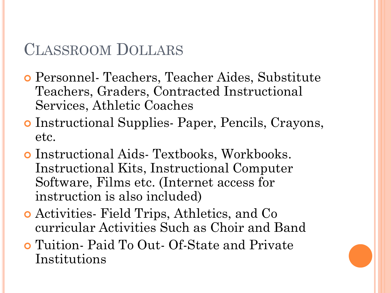### CLASSROOM DOLLARS

- Personnel- Teachers, Teacher Aides, Substitute Teachers, Graders, Contracted Instructional Services, Athletic Coaches
- Instructional Supplies- Paper, Pencils, Crayons, etc.
- Instructional Aids- Textbooks, Workbooks. Instructional Kits, Instructional Computer Software, Films etc. (Internet access for instruction is also included)
- Activities- Field Trips, Athletics, and Co curricular Activities Such as Choir and Band
- Tuition- Paid To Out- Of-State and Private Institutions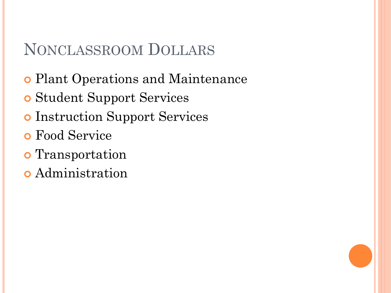### NONCLASSROOM DOLLARS

- Plant Operations and Maintenance
- Student Support Services
- Instruction Support Services
- Food Service
- **o** Transportation
- Administration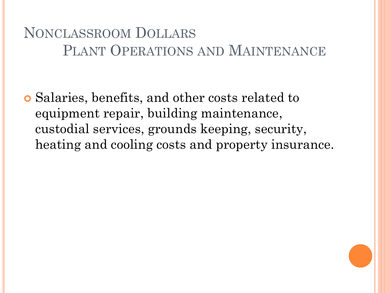### NONCLASSROOM DOLLARS PLANT OPERATIONS AND MAINTENANCE

 Salaries, benefits, and other costs related to equipment repair, building maintenance, custodial services, grounds keeping, security, heating and cooling costs and property insurance.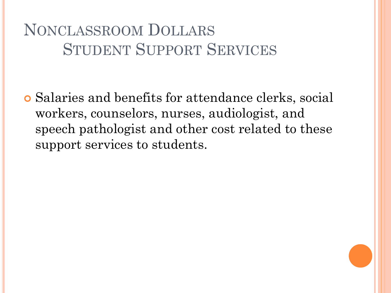# NONCLASSROOM DOLLARS STUDENT SUPPORT SERVICES

 Salaries and benefits for attendance clerks, social workers, counselors, nurses, audiologist, and speech pathologist and other cost related to these support services to students.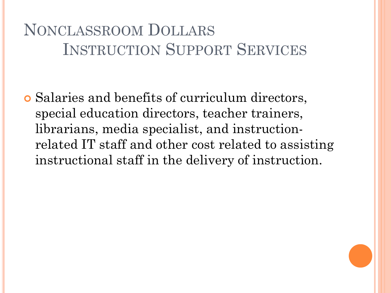# NONCLASSROOM DOLLARS INSTRUCTION SUPPORT SERVICES

 Salaries and benefits of curriculum directors, special education directors, teacher trainers, librarians, media specialist, and instructionrelated IT staff and other cost related to assisting instructional staff in the delivery of instruction.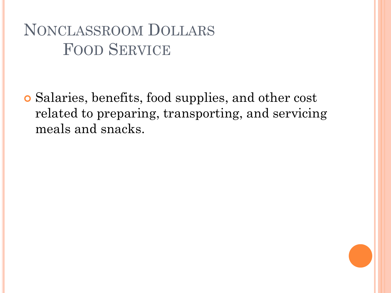# NONCLASSROOM DOLLARS FOOD SERVICE

 Salaries, benefits, food supplies, and other cost related to preparing, transporting, and servicing meals and snacks.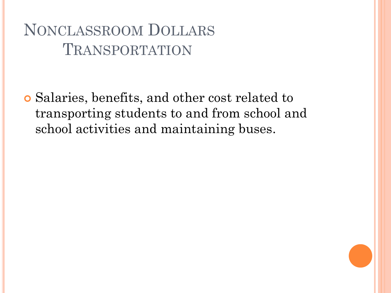## NONCLASSROOM DOLLARS TRANSPORTATION

 Salaries, benefits, and other cost related to transporting students to and from school and school activities and maintaining buses.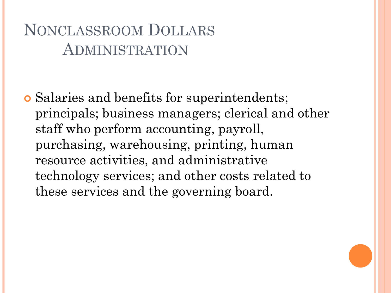## NONCLASSROOM DOLLARS ADMINISTRATION

 Salaries and benefits for superintendents; principals; business managers; clerical and other staff who perform accounting, payroll, purchasing, warehousing, printing, human resource activities, and administrative technology services; and other costs related to these services and the governing board.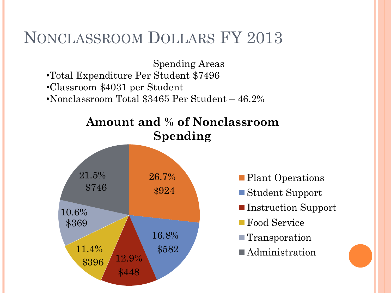### NONCLASSROOM DOLLARS FY 2013

Spending Areas •Total Expenditure Per Student \$7496 •Classroom \$4031 per Student •Nonclassroom Total \$3465 Per Student – 46.2%



- Plant Operations
- Student Support
- Instruction Support
- **Food Service**
- Transporation
- **Administration**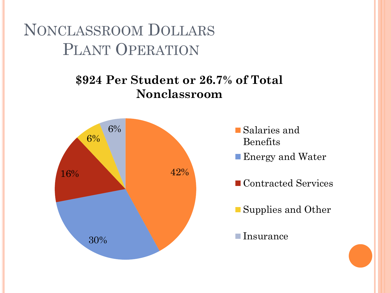NONCLASSROOM DOLLARS PLANT OPERATION

#### **\$924 Per Student or 26.7% of Total Nonclassroom**



- Salaries and Benefits
- **Energy and Water**
- Contracted Services
- Supplies and Other
- ■Insurance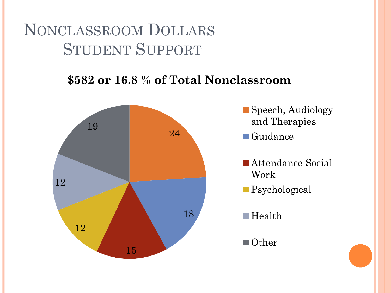## NONCLASSROOM DOLLARS STUDENT SUPPORT

#### **\$582 or 16.8 % of Total Nonclassroom**



- Speech, Audiology and Therapies
- ■Guidance
- Attendance Social Work
- Psychological
- ■Health
- Other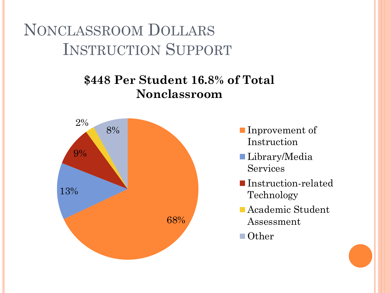NONCLASSROOM DOLLARS INSTRUCTION SUPPORT

#### **\$448 Per Student 16.8% of Total Nonclassroom**



- **Inprovement of** Instruction
- Library/Media **Services**
- Instruction-related Technology
- Academic Student Assessment
- Other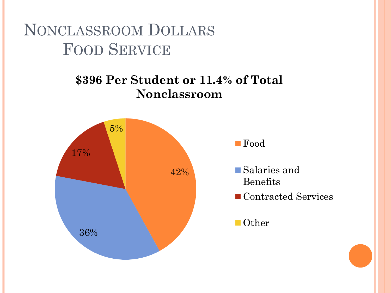NONCLASSROOM DOLLARS FOOD SERVICE

#### **\$396 Per Student or 11.4% of Total Nonclassroom**



■ Food

- Salaries and Benefits
- Contracted Services

■ Other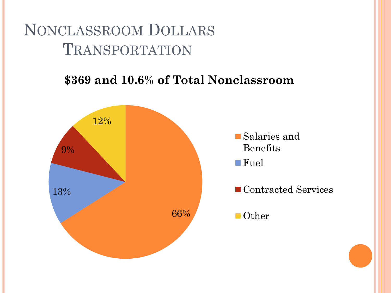### NONCLASSROOM DOLLARS TRANSPORTATION

#### **\$369 and 10.6% of Total Nonclassroom**

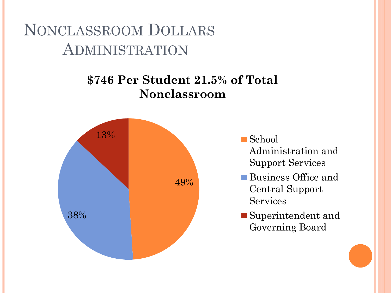NONCLASSROOM DOLLARS ADMINISTRATION

#### **\$746 Per Student 21.5% of Total Nonclassroom**



■ School Administration and Support Services

- ■Business Office and Central Support Services
- ■Superintendent and Governing Board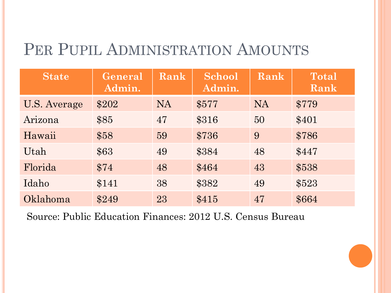# PER PUPIL ADMINISTRATION AMOUNTS

| <b>State</b> | General<br>Admin. | Rank      | <b>School</b><br>Admin. | Rank      | <b>Total</b><br>Rank |
|--------------|-------------------|-----------|-------------------------|-----------|----------------------|
| U.S. Average | \$202             | <b>NA</b> | \$577                   | <b>NA</b> | \$779                |
| Arizona      | \$85              | 47        | \$316                   | 50        | \$401                |
| Hawaii       | \$58              | 59        | \$736                   | 9         | \$786                |
| Utah         | \$63              | 49        | \$384                   | 48        | \$447                |
| Florida      | \$74              | 48        | \$464                   | 43        | \$538                |
| Idaho        | \$141             | 38        | \$382                   | 49        | \$523                |
| Oklahoma     | \$249             | 23        | \$415                   | 47        | \$664                |

Source: Public Education Finances: 2012 U.S. Census Bureau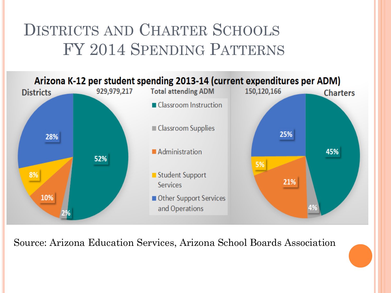# DISTRICTS AND CHARTER SCHOOLS FY 2014 SPENDING PATTERNS



Source: Arizona Education Services, Arizona School Boards Association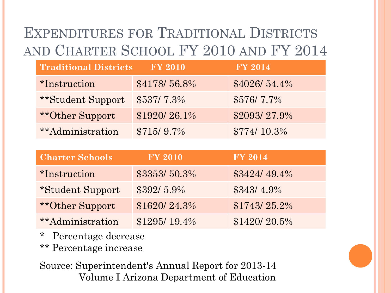## EXPENDITURES FOR TRADITIONAL DISTRICTS AND CHARTER SCHOOL FY 2010 AND FY 2014

| <b>Traditional Districts</b> | <b>FY 2010</b> | <b>FY 2014</b> |
|------------------------------|----------------|----------------|
| <i>*Instruction</i>          | \$4178/56.8%   | \$4026/54.4%   |
| **Student Support            | $$537/7.3\%$   | $$576/7.7\%$   |
| <b>**Other Support</b>       | \$1920/26.1%   | \$2093/27.9%   |
| **Administration             | $$715/9.7\%$   | $$774/10.3\%$  |

| <b>Charter Schools</b>  | <b>FY 2010</b> | <b>FY 2014</b> |
|-------------------------|----------------|----------------|
| <i>*Instruction</i>     | \$3353/50.3%   | \$3424/49.4%   |
| *Student Support        | $$392/5.9\%$   | $$343/4.9\%$   |
| **Other Support         | \$1620/24.3%   | \$1743/25.2%   |
| <i>**Administration</i> | $$1295/19.4\%$ | \$1420/20.5%   |

- \* Percentage decrease
- \*\* Percentage increase

Source: Superintendent's Annual Report for 2013-14 Volume I Arizona Department of Education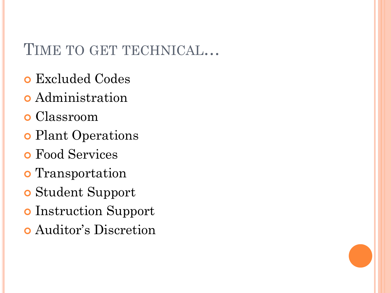### TIME TO GET TECHNICAL…

- Excluded Codes
- Administration
- Classroom
- **o** Plant Operations
- Food Services
- **o** Transportation
- Student Support
- o Instruction Support
- Auditor's Discretion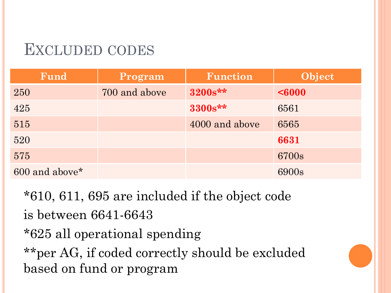### EXCLUDED CODES

| Fund                       | Program       | <b>Function</b> | Object |
|----------------------------|---------------|-----------------|--------|
| 250                        | 700 and above | 3200s**         | <6000  |
| 425                        |               | 3300s**         | 6561   |
| 515                        |               | 4000 and above  | 6565   |
| 520                        |               |                 | 6631   |
| 575                        |               |                 | 6700s  |
| 600 and above <sup>*</sup> |               |                 | 6900s  |

\*610, 611, 695 are included if the object code is between 6641-6643 \*625 all operational spending \*\*per AG, if coded correctly should be excluded based on fund or program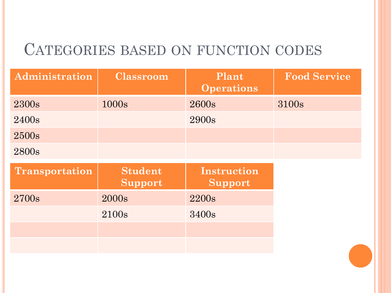### CATEGORIES BASED ON FUNCTION CODES

| Administration        | <b>Classroom</b>          | Plant<br><b>Operations</b>    | <b>Food Service</b> |
|-----------------------|---------------------------|-------------------------------|---------------------|
| 2300s                 | 1000s                     | 2600s                         | 3100s               |
| 2400s                 |                           | 2900s                         |                     |
| 2500s                 |                           |                               |                     |
| 2800s                 |                           |                               |                     |
| <b>Transportation</b> | <b>Student</b><br>Support | <b>Instruction</b><br>Support |                     |
| 2700s                 |                           |                               |                     |
|                       | 2000s                     | 2200s                         |                     |
|                       | 2100s                     | 3400s                         |                     |
|                       |                           |                               |                     |
|                       |                           |                               |                     |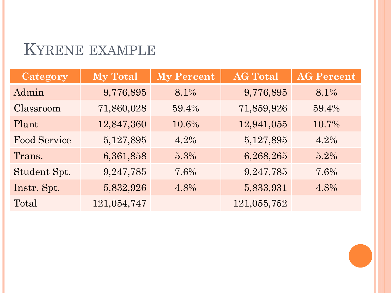### KYRENE EXAMPLE

| Category            | <b>My Total</b> | <b>My Percent</b> | <b>AG Total</b> | <b>AG Percent</b> |
|---------------------|-----------------|-------------------|-----------------|-------------------|
| Admin               | 9,776,895       | 8.1%              | 9,776,895       | 8.1%              |
| Classroom           | 71,860,028      | 59.4%             | 71,859,926      | 59.4%             |
| Plant               | 12,847,360      | 10.6%             | 12,941,055      | 10.7%             |
| <b>Food Service</b> | 5,127,895       | 4.2%              | 5,127,895       | 4.2%              |
| Trans.              | 6,361,858       | 5.3%              | 6,268,265       | 5.2%              |
| Student Spt.        | 9,247,785       | 7.6%              | 9,247,785       | 7.6%              |
| Instr. Spt.         | 5,832,926       | 4.8%              | 5,833,931       | 4.8%              |
| Total               | 121,054,747     |                   | 121,055,752     |                   |